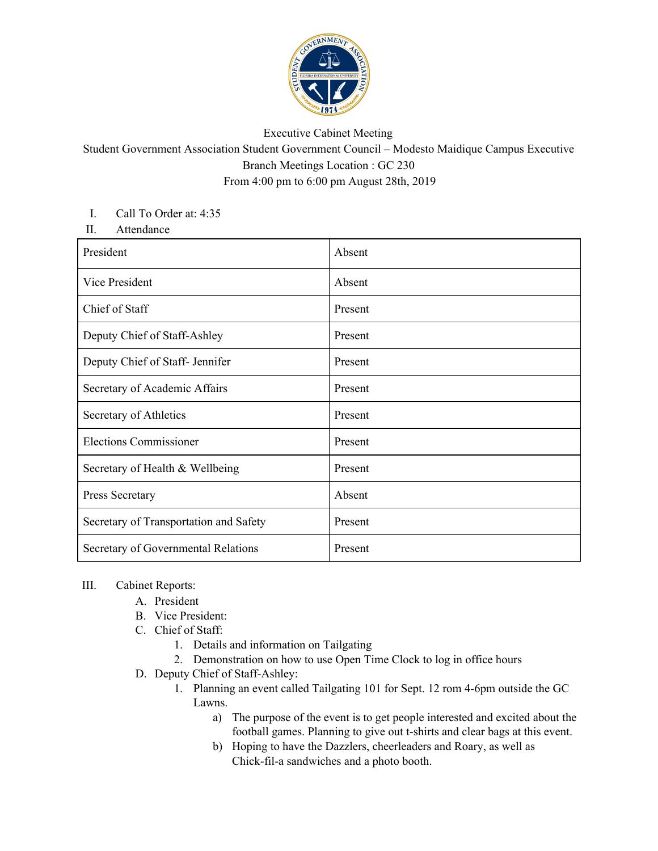

## Executive Cabinet Meeting

Student Government Association Student Government Council – Modesto Maidique Campus Executive Branch Meetings Location : GC 230 From 4:00 pm to 6:00 pm August 28th, 2019

## I. Call To Order at: 4:35

II. Attendance

| President                              | Absent  |
|----------------------------------------|---------|
| Vice President                         | Absent  |
| Chief of Staff                         | Present |
| Deputy Chief of Staff-Ashley           | Present |
| Deputy Chief of Staff- Jennifer        | Present |
| Secretary of Academic Affairs          | Present |
| Secretary of Athletics                 | Present |
| <b>Elections Commissioner</b>          | Present |
| Secretary of Health & Wellbeing        | Present |
| Press Secretary                        | Absent  |
| Secretary of Transportation and Safety | Present |
| Secretary of Governmental Relations    | Present |

## III. Cabinet Reports:

- A. President
- B. Vice President:
- C. Chief of Staff:
	- 1. Details and information on Tailgating
	- 2. Demonstration on how to use Open Time Clock to log in office hours
- D. Deputy Chief of Staff-Ashley:
	- 1. Planning an event called Tailgating 101 for Sept. 12 rom 4-6pm outside the GC Lawns.
		- a) The purpose of the event is to get people interested and excited about the football games. Planning to give out t-shirts and clear bags at this event.
		- b) Hoping to have the Dazzlers, cheerleaders and Roary, as well as Chick-fil-a sandwiches and a photo booth.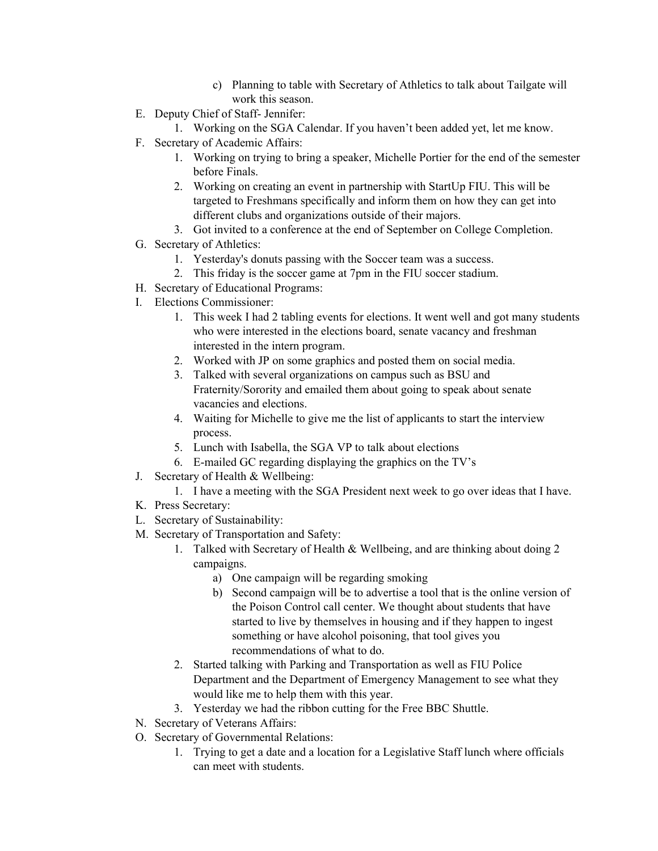- c) Planning to table with Secretary of Athletics to talk about Tailgate will work this season.
- E. Deputy Chief of Staff- Jennifer:
	- 1. Working on the SGA Calendar. If you haven't been added yet, let me know.
- F. Secretary of Academic Affairs:
	- 1. Working on trying to bring a speaker, Michelle Portier for the end of the semester before Finals.
	- 2. Working on creating an event in partnership with StartUp FIU. This will be targeted to Freshmans specifically and inform them on how they can get into different clubs and organizations outside of their majors.
	- 3. Got invited to a conference at the end of September on College Completion.
- G. Secretary of Athletics:
	- 1. Yesterday's donuts passing with the Soccer team was a success.
	- 2. This friday is the soccer game at 7pm in the FIU soccer stadium.
- H. Secretary of Educational Programs:
- I. Elections Commissioner:
	- 1. This week I had 2 tabling events for elections. It went well and got many students who were interested in the elections board, senate vacancy and freshman interested in the intern program.
	- 2. Worked with JP on some graphics and posted them on social media.
	- 3. Talked with several organizations on campus such as BSU and Fraternity/Sorority and emailed them about going to speak about senate vacancies and elections.
	- 4. Waiting for Michelle to give me the list of applicants to start the interview process.
	- 5. Lunch with Isabella, the SGA VP to talk about elections
	- 6. E-mailed GC regarding displaying the graphics on the TV's
- J. Secretary of Health & Wellbeing:
	- 1. I have a meeting with the SGA President next week to go over ideas that I have.
- K. Press Secretary:
- L. Secretary of Sustainability:
- M. Secretary of Transportation and Safety:
	- 1. Talked with Secretary of Health & Wellbeing, and are thinking about doing 2 campaigns.
		- a) One campaign will be regarding smoking
		- b) Second campaign will be to advertise a tool that is the online version of the Poison Control call center. We thought about students that have started to live by themselves in housing and if they happen to ingest something or have alcohol poisoning, that tool gives you recommendations of what to do.
	- 2. Started talking with Parking and Transportation as well as FIU Police Department and the Department of Emergency Management to see what they would like me to help them with this year.
	- 3. Yesterday we had the ribbon cutting for the Free BBC Shuttle.
- N. Secretary of Veterans Affairs:
- O. Secretary of Governmental Relations:
	- 1. Trying to get a date and a location for a Legislative Staff lunch where officials can meet with students.